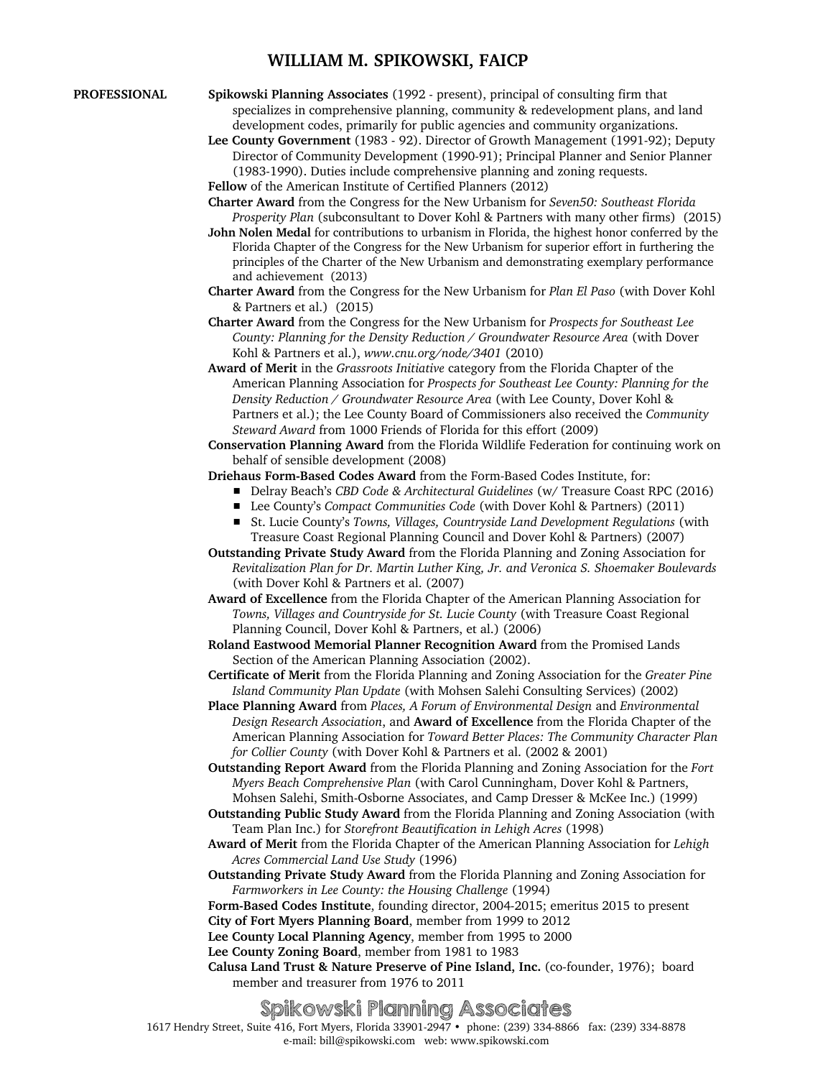## **WILLIAM M. SPIKOWSKI, FAICP**

- 
- **PROFESSIONAL Spikowski Planning Associates** (1992 present), principal of consulting firm that specializes in comprehensive planning, community & redevelopment plans, and land development codes, primarily for public agencies and community organizations.
	- **Lee County Government** (1983 92). Director of Growth Management (1991-92); Deputy Director of Community Development (1990-91); Principal Planner and Senior Planner (1983-1990). Duties include comprehensive planning and zoning requests.

**Fellow** of the American Institute of Certified Planners (2012)

- **Charter Award** from the Congress for the New Urbanism for *Seven50: Southeast Florida Prosperity Plan* (subconsultant to Dover Kohl & Partners with many other firms) (2015)
- **John Nolen Medal** for contributions to urbanism in Florida, the highest honor conferred by the Florida Chapter of the Congress for the New Urbanism for superior effort in furthering the principles of the Charter of the New Urbanism and demonstrating exemplary performance and achievement (2013)
- **Charter Award** from the Congress for the New Urbanism for *Plan El Paso* (with Dover Kohl & Partners et al.) (2015)
- **Charter Award** from the Congress for the New Urbanism for *Prospects for Southeast Lee County: Planning for the Density Reduction / Groundwater Resource Area* (with Dover Kohl & Partners et al.), *www.cnu.org/node/3401* (2010)
- **Award of Merit** in the *Grassroots Initiative* category from the Florida Chapter of the American Planning Association for *Prospects for Southeast Lee County: Planning for the Density Reduction / Groundwater Resource Area* (with Lee County, Dover Kohl & Partners et al.); the Lee County Board of Commissioners also received the *Community Steward Award* from 1000 Friends of Florida for this effort (2009)
- **Conservation Planning Award** from the Florida Wildlife Federation for continuing work on behalf of sensible development (2008)

**Driehaus Form-Based Codes Award** from the Form-Based Codes Institute, for:

- Delray Beach's *CBD Code & Architectural Guidelines* (w/ Treasure Coast RPC (2016)
- Lee County's *Compact Communities Code* (with Dover Kohl & Partners) (2011)
- St. Lucie County's *Towns, Villages, Countryside Land Development Regulations* (with Treasure Coast Regional Planning Council and Dover Kohl & Partners) (2007)
- **Outstanding Private Study Award** from the Florida Planning and Zoning Association for *Revitalization Plan for Dr. Martin Luther King, Jr. and Veronica S. Shoemaker Boulevards* (with Dover Kohl & Partners et al. (2007)
- **Award of Excellence** from the Florida Chapter of the American Planning Association for *Towns, Villages and Countryside for St. Lucie County* (with Treasure Coast Regional Planning Council, Dover Kohl & Partners, et al.) (2006)
- **Roland Eastwood Memorial Planner Recognition Award** from the Promised Lands Section of the American Planning Association (2002).
- **Certificate of Merit** from the Florida Planning and Zoning Association for the *Greater Pine Island Community Plan Update* (with Mohsen Salehi Consulting Services) (2002)
- **Place Planning Award** from *Places, A Forum of Environmental Design* and *Environmental Design Research Association*, and **Award of Excellence** from the Florida Chapter of the American Planning Association for *Toward Better Places: The Community Character Plan for Collier County* (with Dover Kohl & Partners et al. (2002 & 2001)
- **Outstanding Report Award** from the Florida Planning and Zoning Association for the *Fort Myers Beach Comprehensive Plan* (with Carol Cunningham, Dover Kohl & Partners, Mohsen Salehi, Smith-Osborne Associates, and Camp Dresser & McKee Inc.) (1999)
- **Outstanding Public Study Award** from the Florida Planning and Zoning Association (with Team Plan Inc.) for *Storefront Beautification in Lehigh Acres* (1998)
- **Award of Merit** from the Florida Chapter of the American Planning Association for *Lehigh Acres Commercial Land Use Study* (1996)
- **Outstanding Private Study Award** from the Florida Planning and Zoning Association for *Farmworkers in Lee County: the Housing Challenge* (1994)

**Form-Based Codes Institute**, founding director, 2004-2015; emeritus 2015 to present

- **City of Fort Myers Planning Board**, member from 1999 to 2012
- **Lee County Local Planning Agency**, member from 1995 to 2000
- **Lee County Zoning Board**, member from 1981 to 1983
- **Calusa Land Trust & Nature Preserve of Pine Island, Inc.** (co-founder, 1976); board member and treasurer from 1976 to 2011

## Spikowski Planning Associates

1617 Hendry Street, Suite 416, Fort Myers, Florida 33901-2947 • phone: (239) 334-8866 fax: (239) 334-8878 e-mail: bill@spikowski.com web: www.spikowski.com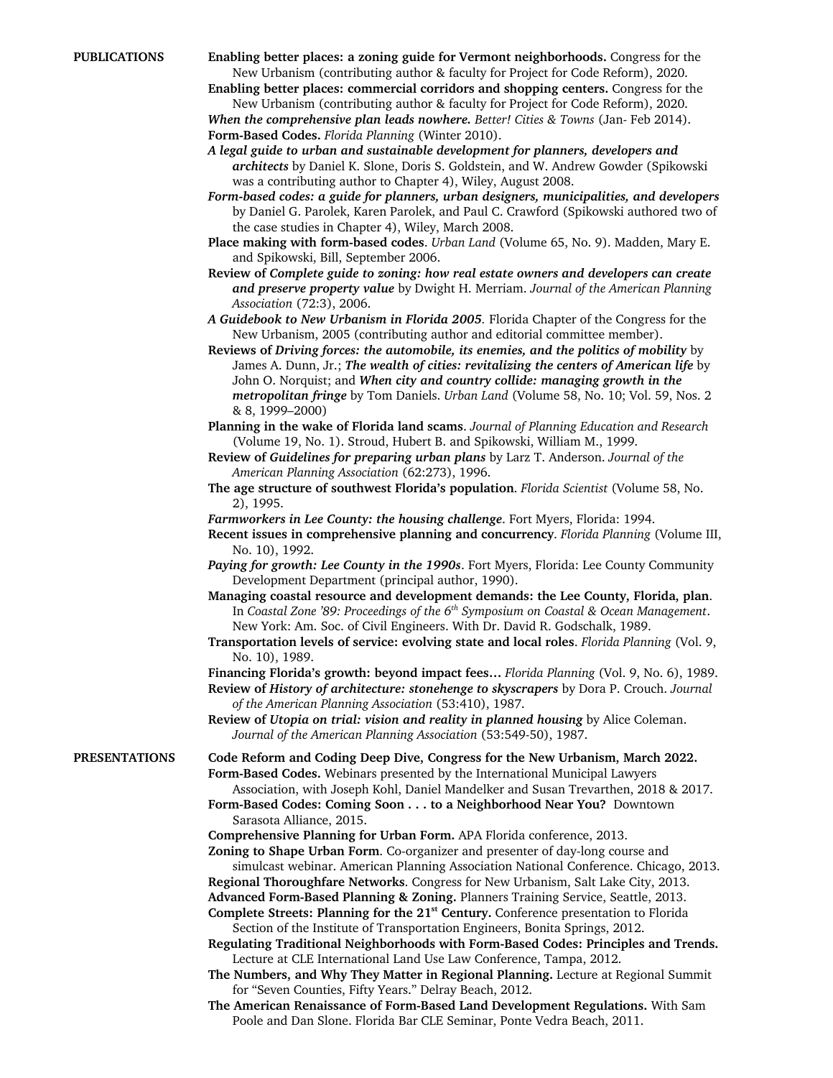**PUBLICATIONS Enabling better places: a zoning guide for Vermont neighborhoods.** Congress for the New Urbanism (contributing author & faculty for Project for Code Reform), 2020.

**Enabling better places: commercial corridors and shopping centers.** Congress for the New Urbanism (contributing author & faculty for Project for Code Reform), 2020. *When the comprehensive plan leads nowhere. Better! Cities & Towns* (Jan- Feb 2014).

**Form-Based Codes.** *Florida Planning* (Winter 2010).

*A legal guide to urban and sustainable development for planners, developers and architects* by Daniel K. Slone, Doris S. Goldstein, and W. Andrew Gowder (Spikowski was a contributing author to Chapter 4), Wiley, August 2008.

- *Form-based codes: a guide for planners, urban designers, municipalities, and developers* by Daniel G. Parolek, Karen Parolek, and Paul C. Crawford (Spikowski authored two of the case studies in Chapter 4), Wiley, March 2008.
- **Place making with form-based codes**. *Urban Land* (Volume 65, No. 9). Madden, Mary E. and Spikowski, Bill, September 2006.
- **Review of** *Complete guide to zoning: how real estate owners and developers can create and preserve property value* by Dwight H. Merriam. *Journal of the American Planning Association* (72:3), 2006.

*A Guidebook to New Urbanism in Florida 2005.* Florida Chapter of the Congress for the New Urbanism, 2005 (contributing author and editorial committee member).

**Reviews of** *Driving forces: the automobile, its enemies, and the politics of mobility* by James A. Dunn, Jr.; *The wealth of cities: revitalizing the centers of American life* by John O. Norquist; and *When city and country collide: managing growth in the metropolitan fringe* by Tom Daniels. *Urban Land* (Volume 58, No. 10; Vol. 59, Nos. 2 & 8, 1999–2000)

**Planning in the wake of Florida land scams**. *Journal of Planning Education and Research* (Volume 19, No. 1). Stroud, Hubert B. and Spikowski, William M., 1999.

- **Review of** *Guidelines for preparing urban plans* by Larz T. Anderson. *Journal of the American Planning Association* (62:273), 1996.
- **The age structure of southwest Florida's population**. *Florida Scientist* (Volume 58, No. 2), 1995.

*Farmworkers in Lee County: the housing challenge*. Fort Myers, Florida: 1994.

**Recent issues in comprehensive planning and concurrency**. *Florida Planning* (Volume III, No. 10), 1992.

*Paying for growth: Lee County in the 1990s*. Fort Myers, Florida: Lee County Community Development Department (principal author, 1990).

- **Managing coastal resource and development demands: the Lee County, Florida, plan**. In *Coastal Zone '89: Proceedings of the 6th Symposium on Coastal & Ocean Management*. New York: Am. Soc. of Civil Engineers. With Dr. David R. Godschalk, 1989.
- **Transportation levels of service: evolving state and local roles**. *Florida Planning* (Vol. 9, No. 10), 1989.

**Financing Florida's growth: beyond impact fees…** *Florida Planning* (Vol. 9, No. 6), 1989.

**Review of** *History of architecture: stonehenge to skyscrapers* by Dora P. Crouch. *Journal of the American Planning Association* (53:410), 1987.

**Review of** *Utopia on trial: vision and reality in planned housing* by Alice Coleman. *Journal of the American Planning Association* (53:549-50), 1987.

**PRESENTATIONS Code Reform and Coding Deep Dive, Congress for the New Urbanism, March 2022. Form-Based Codes.** Webinars presented by the International Municipal Lawyers Association, with Joseph Kohl, Daniel Mandelker and Susan Trevarthen, 2018 & 2017.

**Form-Based Codes: Coming Soon . . . to a Neighborhood Near You?** Downtown Sarasota Alliance, 2015.

**Comprehensive Planning for Urban Form.** APA Florida conference, 2013.

- **Zoning to Shape Urban Form**. Co-organizer and presenter of day-long course and simulcast webinar. American Planning Association National Conference. Chicago, 2013.
- **Regional Thoroughfare Networks**. Congress for New Urbanism, Salt Lake City, 2013.

**Advanced Form-Based Planning & Zoning.** Planners Training Service, Seattle, 2013. Complete Streets: Planning for the 21<sup>st</sup> Century. Conference presentation to Florida

Section of the Institute of Transportation Engineers, Bonita Springs, 2012. **Regulating Traditional Neighborhoods with Form-Based Codes: Principles and Trends.**

Lecture at CLE International Land Use Law Conference, Tampa, 2012. **The Numbers, and Why They Matter in Regional Planning.** Lecture at Regional Summit

for "Seven Counties, Fifty Years." Delray Beach, 2012.

**The American Renaissance of Form-Based Land Development Regulations.** With Sam Poole and Dan Slone. Florida Bar CLE Seminar, Ponte Vedra Beach, 2011.